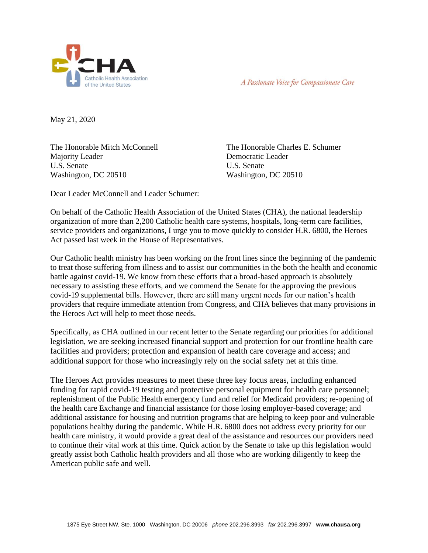



May 21, 2020

The Honorable Mitch McConnell Majority Leader U.S. Senate Washington, DC 20510

The Honorable Charles E. Schumer Democratic Leader U.S. Senate Washington, DC 20510

Dear Leader McConnell and Leader Schumer:

On behalf of the Catholic Health Association of the United States (CHA), the national leadership organization of more than 2,200 Catholic health care systems, hospitals, long-term care facilities, service providers and organizations, I urge you to move quickly to consider H.R. 6800, the Heroes Act passed last week in the House of Representatives.

Our Catholic health ministry has been working on the front lines since the beginning of the pandemic to treat those suffering from illness and to assist our communities in the both the health and economic battle against covid-19. We know from these efforts that a broad-based approach is absolutely necessary to assisting these efforts, and we commend the Senate for the approving the previous covid-19 supplemental bills. However, there are still many urgent needs for our nation's health providers that require immediate attention from Congress, and CHA believes that many provisions in the Heroes Act will help to meet those needs.

Specifically, as CHA outlined in our recent letter to the Senate regarding our priorities for additional legislation, we are seeking increased financial support and protection for our frontline health care facilities and providers; protection and expansion of health care coverage and access; and additional support for those who increasingly rely on the social safety net at this time.

The Heroes Act provides measures to meet these three key focus areas, including enhanced funding for rapid covid-19 testing and protective personal equipment for health care personnel; replenishment of the Public Health emergency fund and relief for Medicaid providers; re-opening of the health care Exchange and financial assistance for those losing employer-based coverage; and additional assistance for housing and nutrition programs that are helping to keep poor and vulnerable populations healthy during the pandemic. While H.R. 6800 does not address every priority for our health care ministry, it would provide a great deal of the assistance and resources our providers need to continue their vital work at this time. Quick action by the Senate to take up this legislation would greatly assist both Catholic health providers and all those who are working diligently to keep the American public safe and well.